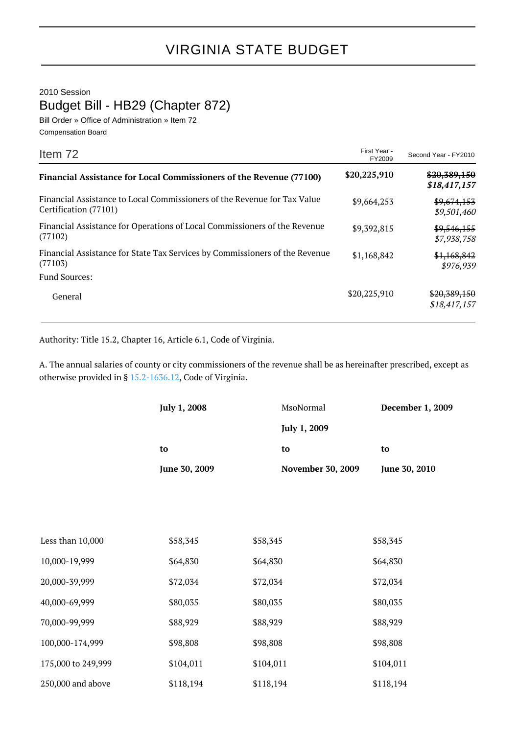## VIRGINIA STATE BUDGET

2010 Session

Budget Bill - HB29 (Chapter 872)

Bill Order » Office of Administration » Item 72 Compensation Board

| Item 72                                                                                           | First Year -<br>FY2009 | Second Year - FY2010         |
|---------------------------------------------------------------------------------------------------|------------------------|------------------------------|
| <b>Financial Assistance for Local Commissioners of the Revenue (77100)</b>                        | \$20,225,910           | \$20,389,150<br>\$18,417,157 |
| Financial Assistance to Local Commissioners of the Revenue for Tax Value<br>Certification (77101) | \$9,664,253            | \$9,674,153<br>\$9,501,460   |
| Financial Assistance for Operations of Local Commissioners of the Revenue<br>(77102)              | \$9,392,815            | \$9,546,155<br>\$7,938,758   |
| Financial Assistance for State Tax Services by Commissioners of the Revenue<br>(77103)            | \$1,168,842            | \$1,168,842<br>\$976,939     |
| <b>Fund Sources:</b>                                                                              |                        |                              |
| General                                                                                           | \$20,225,910           | \$20,389,150<br>\$18,417,157 |

Authority: Title 15.2, Chapter 16, Article 6.1, Code of Virginia.

A. The annual salaries of county or city commissioners of the revenue shall be as hereinafter prescribed, except as otherwise provided in § [15.2-1636.12](http://law.lis.virginia.gov/vacode/15.2-1636.12/), Code of Virginia.

|                    | July 1, 2008        | MsoNormal                      | December 1, 2009    |
|--------------------|---------------------|--------------------------------|---------------------|
|                    |                     | July 1, 2009                   | to<br>June 30, 2010 |
|                    | to<br>June 30, 2009 | to<br><b>November 30, 2009</b> |                     |
|                    |                     |                                |                     |
|                    |                     |                                |                     |
|                    |                     |                                |                     |
| Less than 10,000   | \$58,345            | \$58,345                       | \$58,345            |
| 10,000-19,999      | \$64,830            | \$64,830                       | \$64,830            |
| 20,000-39,999      | \$72,034            | \$72,034                       | \$72,034            |
| 40,000-69,999      | \$80,035            | \$80,035                       | \$80,035            |
| 70,000-99,999      | \$88,929            | \$88,929                       | \$88,929            |
| 100,000-174,999    | \$98,808            | \$98,808                       | \$98,808            |
| 175,000 to 249,999 | \$104,011           | \$104,011                      | \$104,011           |
| 250,000 and above  | \$118,194           | \$118,194                      | \$118,194           |